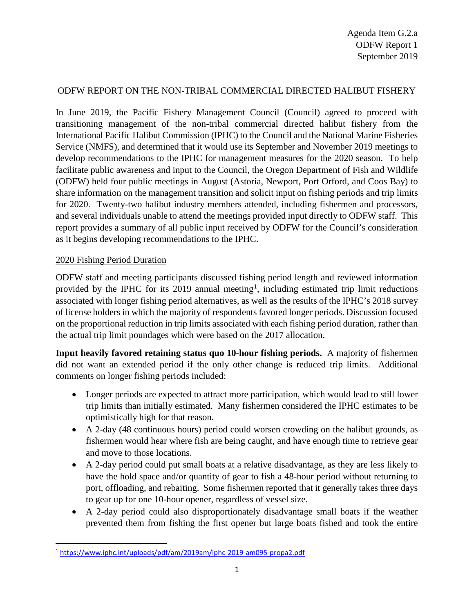# ODFW REPORT ON THE NON-TRIBAL COMMERCIAL DIRECTED HALIBUT FISHERY

In June 2019, the Pacific Fishery Management Council (Council) agreed to proceed with transitioning management of the non-tribal commercial directed halibut fishery from the International Pacific Halibut Commission (IPHC) to the Council and the National Marine Fisheries Service (NMFS), and determined that it would use its September and November 2019 meetings to develop recommendations to the IPHC for management measures for the 2020 season. To help facilitate public awareness and input to the Council, the Oregon Department of Fish and Wildlife (ODFW) held four public meetings in August (Astoria, Newport, Port Orford, and Coos Bay) to share information on the management transition and solicit input on fishing periods and trip limits for 2020. Twenty-two halibut industry members attended, including fishermen and processors, and several individuals unable to attend the meetings provided input directly to ODFW staff. This report provides a summary of all public input received by ODFW for the Council's consideration as it begins developing recommendations to the IPHC.

### 2020 Fishing Period Duration

ODFW staff and meeting participants discussed fishing period length and reviewed information provided by the IPHC for its 20[1](#page-0-0)9 annual meeting<sup>1</sup>, including estimated trip limit reductions associated with longer fishing period alternatives, as well as the results of the IPHC's 2018 survey of license holders in which the majority of respondents favored longer periods. Discussion focused on the proportional reduction in trip limits associated with each fishing period duration, rather than the actual trip limit poundages which were based on the 2017 allocation.

**Input heavily favored retaining status quo 10-hour fishing periods.** A majority of fishermen did not want an extended period if the only other change is reduced trip limits. Additional comments on longer fishing periods included:

- Longer periods are expected to attract more participation, which would lead to still lower trip limits than initially estimated. Many fishermen considered the IPHC estimates to be optimistically high for that reason.
- A 2-day (48 continuous hours) period could worsen crowding on the halibut grounds, as fishermen would hear where fish are being caught, and have enough time to retrieve gear and move to those locations.
- A 2-day period could put small boats at a relative disadvantage, as they are less likely to have the hold space and/or quantity of gear to fish a 48-hour period without returning to port, offloading, and rebaiting. Some fishermen reported that it generally takes three days to gear up for one 10-hour opener, regardless of vessel size.
- A 2-day period could also disproportionately disadvantage small boats if the weather prevented them from fishing the first opener but large boats fished and took the entire

<span id="page-0-0"></span> <sup>1</sup> <https://www.iphc.int/uploads/pdf/am/2019am/iphc-2019-am095-propa2.pdf>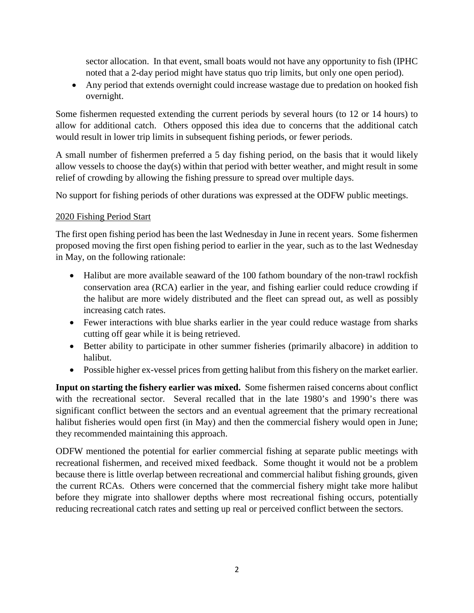sector allocation. In that event, small boats would not have any opportunity to fish (IPHC noted that a 2-day period might have status quo trip limits, but only one open period).

• Any period that extends overnight could increase wastage due to predation on hooked fish overnight.

Some fishermen requested extending the current periods by several hours (to 12 or 14 hours) to allow for additional catch. Others opposed this idea due to concerns that the additional catch would result in lower trip limits in subsequent fishing periods, or fewer periods.

A small number of fishermen preferred a 5 day fishing period, on the basis that it would likely allow vessels to choose the day(s) within that period with better weather, and might result in some relief of crowding by allowing the fishing pressure to spread over multiple days.

No support for fishing periods of other durations was expressed at the ODFW public meetings.

## 2020 Fishing Period Start

The first open fishing period has been the last Wednesday in June in recent years. Some fishermen proposed moving the first open fishing period to earlier in the year, such as to the last Wednesday in May, on the following rationale:

- Halibut are more available seaward of the 100 fathom boundary of the non-trawl rockfish conservation area (RCA) earlier in the year, and fishing earlier could reduce crowding if the halibut are more widely distributed and the fleet can spread out, as well as possibly increasing catch rates.
- Fewer interactions with blue sharks earlier in the year could reduce wastage from sharks cutting off gear while it is being retrieved.
- Better ability to participate in other summer fisheries (primarily albacore) in addition to halibut.
- Possible higher ex-vessel prices from getting halibut from this fishery on the market earlier.

**Input on starting the fishery earlier was mixed.** Some fishermen raised concerns about conflict with the recreational sector. Several recalled that in the late 1980's and 1990's there was significant conflict between the sectors and an eventual agreement that the primary recreational halibut fisheries would open first (in May) and then the commercial fishery would open in June; they recommended maintaining this approach.

ODFW mentioned the potential for earlier commercial fishing at separate public meetings with recreational fishermen, and received mixed feedback. Some thought it would not be a problem because there is little overlap between recreational and commercial halibut fishing grounds, given the current RCAs. Others were concerned that the commercial fishery might take more halibut before they migrate into shallower depths where most recreational fishing occurs, potentially reducing recreational catch rates and setting up real or perceived conflict between the sectors.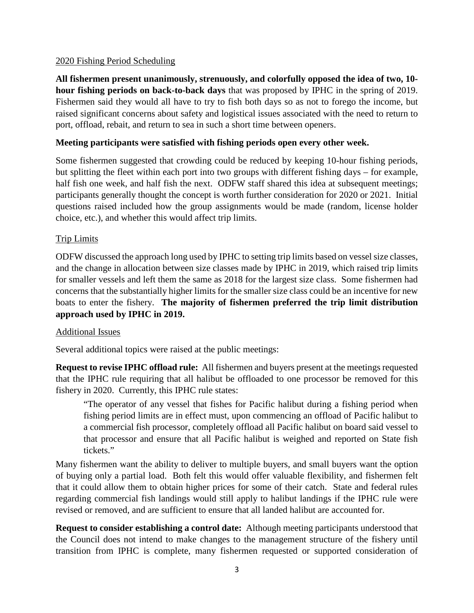### 2020 Fishing Period Scheduling

**All fishermen present unanimously, strenuously, and colorfully opposed the idea of two, 10 hour fishing periods on back-to-back days** that was proposed by IPHC in the spring of 2019. Fishermen said they would all have to try to fish both days so as not to forego the income, but raised significant concerns about safety and logistical issues associated with the need to return to port, offload, rebait, and return to sea in such a short time between openers.

### **Meeting participants were satisfied with fishing periods open every other week.**

Some fishermen suggested that crowding could be reduced by keeping 10-hour fishing periods, but splitting the fleet within each port into two groups with different fishing days – for example, half fish one week, and half fish the next. ODFW staff shared this idea at subsequent meetings; participants generally thought the concept is worth further consideration for 2020 or 2021. Initial questions raised included how the group assignments would be made (random, license holder choice, etc.), and whether this would affect trip limits.

### Trip Limits

ODFW discussed the approach long used by IPHC to setting trip limits based on vessel size classes, and the change in allocation between size classes made by IPHC in 2019, which raised trip limits for smaller vessels and left them the same as 2018 for the largest size class. Some fishermen had concerns that the substantially higher limits for the smaller size class could be an incentive for new boats to enter the fishery. **The majority of fishermen preferred the trip limit distribution approach used by IPHC in 2019.**

#### Additional Issues

Several additional topics were raised at the public meetings:

**Request to revise IPHC offload rule:** All fishermen and buyers present at the meetings requested that the IPHC rule requiring that all halibut be offloaded to one processor be removed for this fishery in 2020. Currently, this IPHC rule states:

"The operator of any vessel that fishes for Pacific halibut during a fishing period when fishing period limits are in effect must, upon commencing an offload of Pacific halibut to a commercial fish processor, completely offload all Pacific halibut on board said vessel to that processor and ensure that all Pacific halibut is weighed and reported on State fish tickets."

Many fishermen want the ability to deliver to multiple buyers, and small buyers want the option of buying only a partial load. Both felt this would offer valuable flexibility, and fishermen felt that it could allow them to obtain higher prices for some of their catch. State and federal rules regarding commercial fish landings would still apply to halibut landings if the IPHC rule were revised or removed, and are sufficient to ensure that all landed halibut are accounted for.

**Request to consider establishing a control date:** Although meeting participants understood that the Council does not intend to make changes to the management structure of the fishery until transition from IPHC is complete, many fishermen requested or supported consideration of